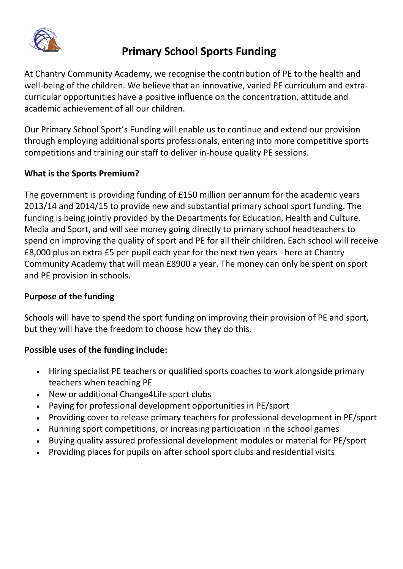

# **Primary School Sports Funding**

At Chantry Community Academy, we recognise the contribution of PE to the health and well-being of the children. We believe that an innovative, varied PE curriculum and extracurricular opportunities have a positive influence on the concentration, attitude and academic achievement of all our children.

Our Primary School Sport's Funding will enable us to continue and extend our provision through employing additional sports professionals, entering into more competitive sports competitions and training our staff to deliver in-house quality PE sessions.

## **What is the Sports Premium?**

The government is providing funding of £150 million per annum for the academic years 2013/14 and 2014/15 to provide new and substantial primary school sport funding. The funding is being jointly provided by the Departments for Education, Health and Culture, Media and Sport, and will see money going directly to primary school headteachers to spend on improving the quality of sport and PE for all their children. Each school will receive £8,000 plus an extra £5 per pupil each year for the next two years - here at Chantry Community Academy that will mean £8900 a year. The money can only be spent on sport and PE provision in schools.

#### **Purpose of the funding**

Schools will have to spend the sport funding on improving their provision of PE and sport, but they will have the freedom to choose how they do this.

## **Possible uses of the funding include:**

- Hiring specialist PE teachers or qualified sports coaches to work alongside primary teachers when teaching PE
- New or additional Change4Life sport clubs
- Paying for professional development opportunities in PE/sport
- Providing cover to release primary teachers for professional development in PE/sport
- Running sport competitions, or increasing participation in the school games
- Buying quality assured professional development modules or material for PE/sport
- Providing places for pupils on after school sport clubs and residential visits